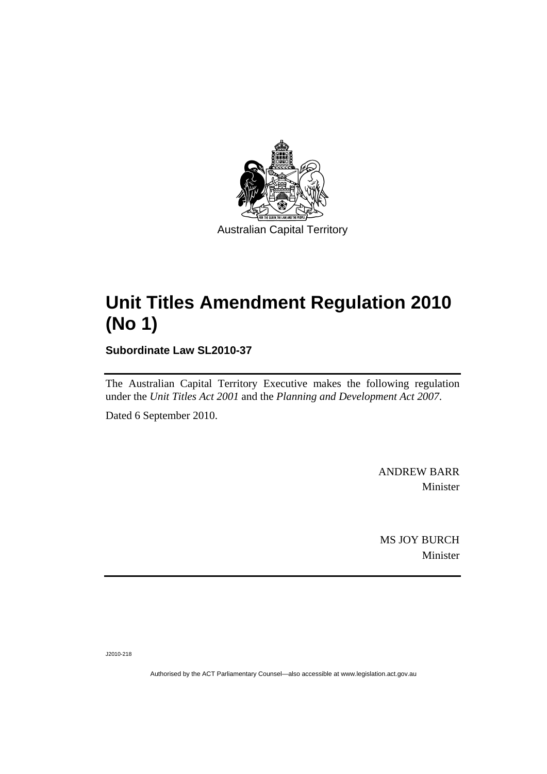

# **[Unit Titles Amendment Regulation 2010](#page-2-0)  [\(No 1\)](#page-2-0)**

**Subordinate Law SL2010-37** 

The Australian Capital Territory Executive makes the following regulation under the *[Unit Titles Act 2001](#page-2-0)* and the *Planning and Development Act 2007*.

Dated 6 September 2010.

ANDREW BARR Minister

MS JOY BURCH Minister

J2010-218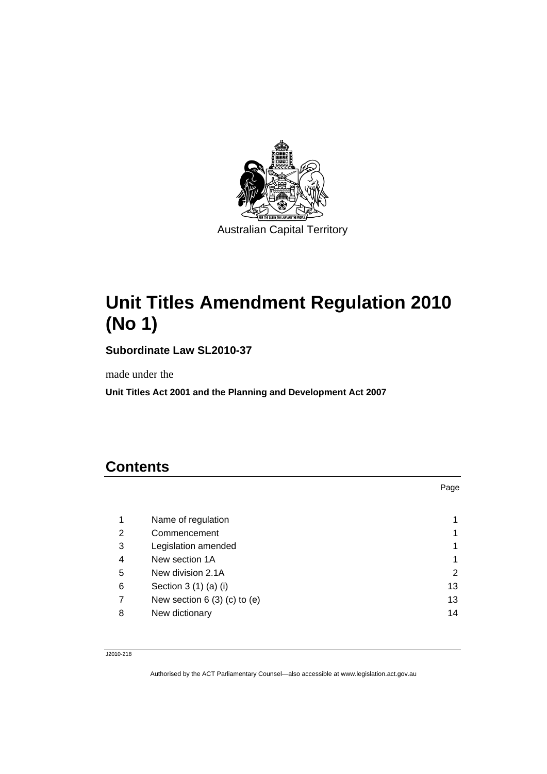<span id="page-2-0"></span>

# **Unit Titles Amendment Regulation 2010 (No 1)**

**Subordinate Law SL2010-37** 

made under the

**Unit Titles Act 2001 and the Planning and Development Act 2007** 

# **Contents**

|   |                                | Page |
|---|--------------------------------|------|
|   |                                |      |
| 1 | Name of regulation             |      |
| 2 | Commencement                   |      |
| 3 | Legislation amended            |      |
| 4 | New section 1A                 |      |
| 5 | New division 2.1A              | 2    |
| 6 | Section 3 (1) (a) (i)          | 13   |
| 7 | New section $6(3)(c)$ to $(e)$ | 13   |
| 8 | New dictionary                 | 14   |

J2010-218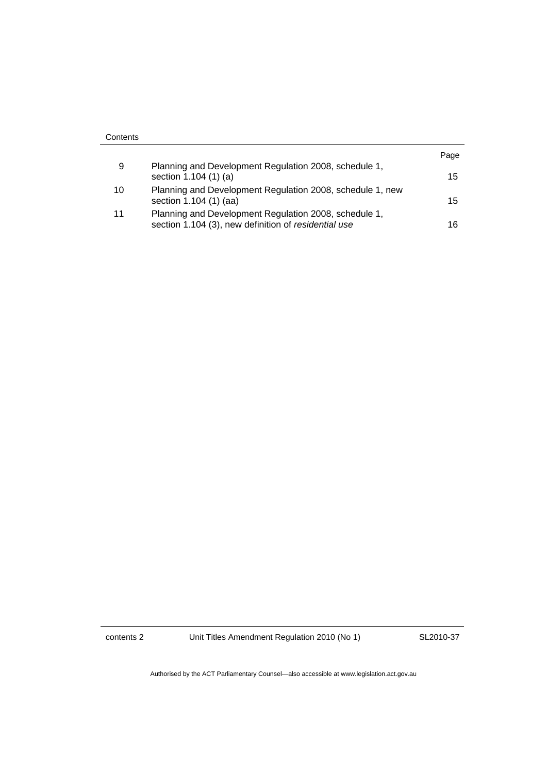| Contents |                                                           |      |
|----------|-----------------------------------------------------------|------|
|          |                                                           | Page |
| 9        | Planning and Development Regulation 2008, schedule 1,     |      |
|          | section 1.104 (1) (a)                                     | 15   |
| 10       | Planning and Development Regulation 2008, schedule 1, new |      |
|          | section 1.104 (1) (aa)                                    | 15   |
| 11       | Planning and Development Regulation 2008, schedule 1,     |      |
|          | section 1.104 (3), new definition of residential use      | 16   |

contents 2 Unit Titles Amendment Regulation 2010 (No 1)

SL2010-37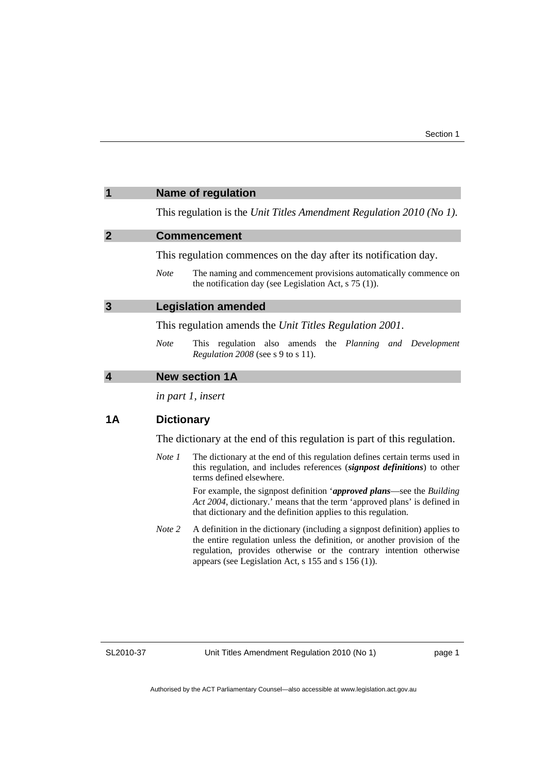<span id="page-4-0"></span>

| 1                          | <b>Name of regulation</b>                                                                                                                  |  |
|----------------------------|--------------------------------------------------------------------------------------------------------------------------------------------|--|
|                            | This regulation is the Unit Titles Amendment Regulation 2010 (No 1).                                                                       |  |
| $\boldsymbol{\mathcal{P}}$ | <b>Commencement</b>                                                                                                                        |  |
|                            | This regulation commences on the day after its notification day.                                                                           |  |
|                            | The naming and commencement provisions automatically commence on<br><b>Note</b><br>the notification day (see Legislation Act, $s$ 75 (1)). |  |
| 3                          | <b>Legislation amended</b>                                                                                                                 |  |
|                            | This regulation amends the Unit Titles Regulation 2001.                                                                                    |  |
|                            | <b>Note</b><br>This regulation also amends the Planning and Development<br><i>Regulation 2008</i> (see s 9 to s 11).                       |  |
| $\overline{\mathbf{4}}$    | <b>New section 1A</b>                                                                                                                      |  |
|                            | in part 1, insert                                                                                                                          |  |
| 1 Α                        | <b>Dictionary</b>                                                                                                                          |  |

The dictionary at the end of this regulation is part of this regulation.

*Note 1* The dictionary at the end of this regulation defines certain terms used in this regulation, and includes references (*signpost definitions*) to other terms defined elsewhere.

> For example, the signpost definition '*approved plans*—see the *Building Act 2004*, dictionary.' means that the term 'approved plans' is defined in that dictionary and the definition applies to this regulation.

*Note 2* A definition in the dictionary (including a signpost definition) applies to the entire regulation unless the definition, or another provision of the regulation, provides otherwise or the contrary intention otherwise appears (see Legislation Act, s 155 and s 156 (1)).

SL2010-37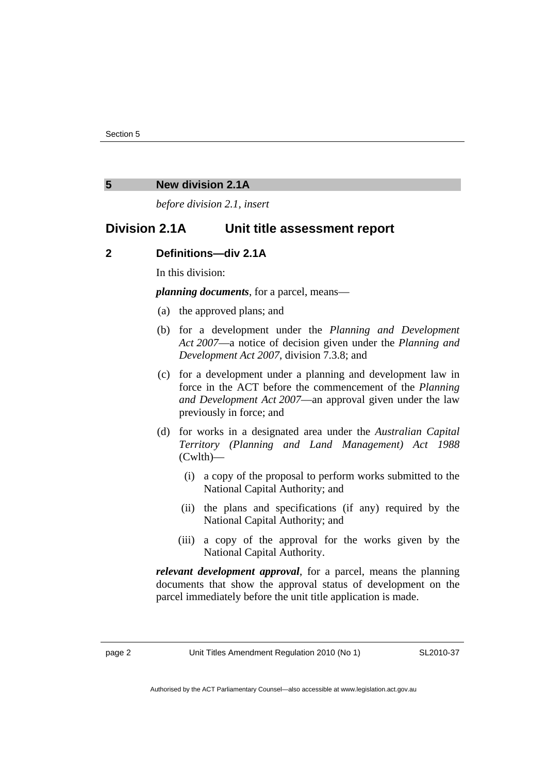#### <span id="page-5-0"></span>**5 New division 2.1A**

*before division 2.1, insert* 

# **Division 2.1A Unit title assessment report**

#### **2 Definitions—div 2.1A**

In this division:

*planning documents*, for a parcel, means—

- (a) the approved plans; and
- (b) for a development under the *Planning and Development Act 2007*—a notice of decision given under the *Planning and Development Act 2007*, division 7.3.8; and
- (c) for a development under a planning and development law in force in the ACT before the commencement of the *Planning and Development Act 2007*—an approval given under the law previously in force; and
- (d) for works in a designated area under the *Australian Capital Territory (Planning and Land Management) Act 1988*  (Cwlth)—
	- (i) a copy of the proposal to perform works submitted to the National Capital Authority; and
	- (ii) the plans and specifications (if any) required by the National Capital Authority; and
	- (iii) a copy of the approval for the works given by the National Capital Authority.

*relevant development approval*, for a parcel, means the planning documents that show the approval status of development on the parcel immediately before the unit title application is made.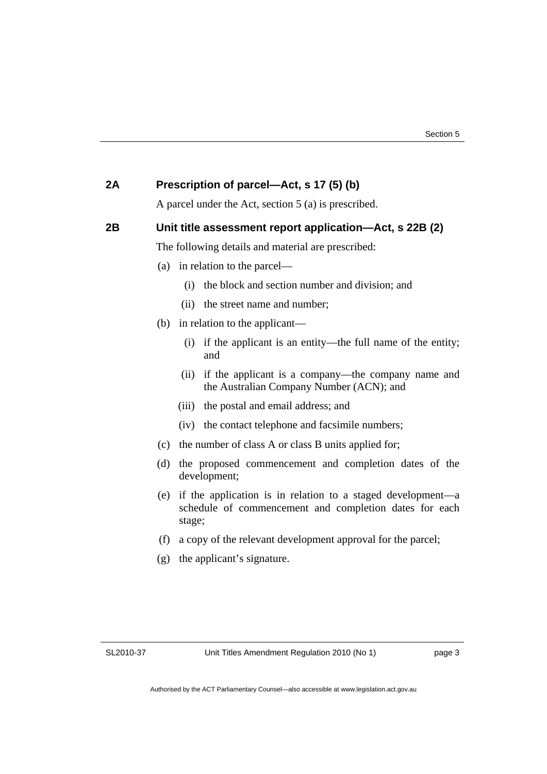| 2A | Prescription of parcel-Act, s 17 (5) (b)                                                                                               |  |  |
|----|----------------------------------------------------------------------------------------------------------------------------------------|--|--|
|    | A parcel under the Act, section $5$ (a) is prescribed.                                                                                 |  |  |
| 2B | Unit title assessment report application—Act, s 22B (2)<br>The following details and material are prescribed:                          |  |  |
|    |                                                                                                                                        |  |  |
|    | in relation to the parcel—<br>(a)                                                                                                      |  |  |
|    | the block and section number and division; and<br>(i)                                                                                  |  |  |
|    | (ii)<br>the street name and number;                                                                                                    |  |  |
|    | (b) in relation to the applicant—                                                                                                      |  |  |
|    | if the applicant is an entity—the full name of the entity;<br>(i)<br>and                                                               |  |  |
|    | if the applicant is a company—the company name and<br>(ii)<br>the Australian Company Number (ACN); and                                 |  |  |
|    | the postal and email address; and<br>(iii)                                                                                             |  |  |
|    | (iv) the contact telephone and facsimile numbers;                                                                                      |  |  |
|    | the number of class A or class B units applied for;<br>(c)                                                                             |  |  |
|    | (d)<br>the proposed commencement and completion dates of the<br>development;                                                           |  |  |
|    | if the application is in relation to a staged development—a<br>(e)<br>schedule of commencement and completion dates for each<br>stage; |  |  |
|    | a copy of the relevant development approval for the parcel;<br>(f)                                                                     |  |  |
|    | the applicant's signature.<br>(g)                                                                                                      |  |  |
|    |                                                                                                                                        |  |  |
|    |                                                                                                                                        |  |  |
|    |                                                                                                                                        |  |  |

SL2010-37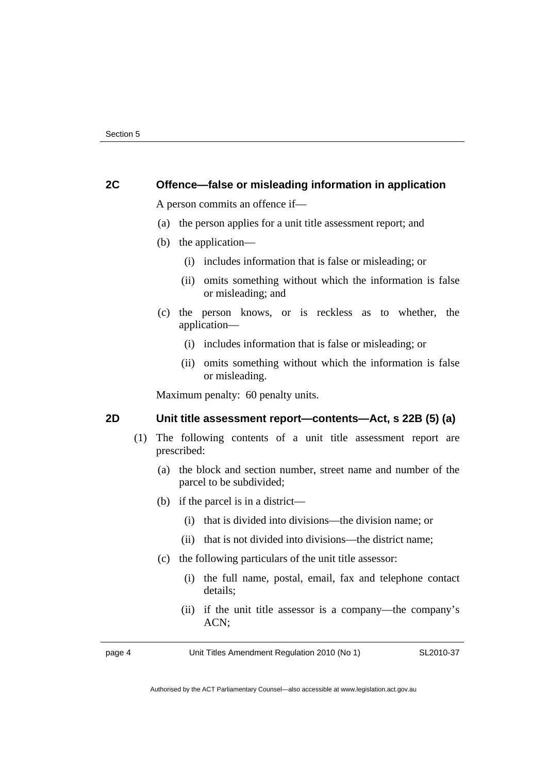## **2C Offence—false or misleading information in application**

A person commits an offence if—

- (a) the person applies for a unit title assessment report; and
- (b) the application—
	- (i) includes information that is false or misleading; or
	- (ii) omits something without which the information is false or misleading; and
- (c) the person knows, or is reckless as to whether, the application—
	- (i) includes information that is false or misleading; or
	- (ii) omits something without which the information is false or misleading.

Maximum penalty: 60 penalty units.

#### **2D Unit title assessment report—contents—Act, s 22B (5) (a)**

- (1) The following contents of a unit title assessment report are prescribed:
	- (a) the block and section number, street name and number of the parcel to be subdivided;
	- (b) if the parcel is in a district—
		- (i) that is divided into divisions—the division name; or
		- (ii) that is not divided into divisions—the district name;
	- (c) the following particulars of the unit title assessor:
		- (i) the full name, postal, email, fax and telephone contact details;
		- (ii) if the unit title assessor is a company—the company's ACN;

page 4 Unit Titles Amendment Regulation 2010 (No 1)

SL2010-37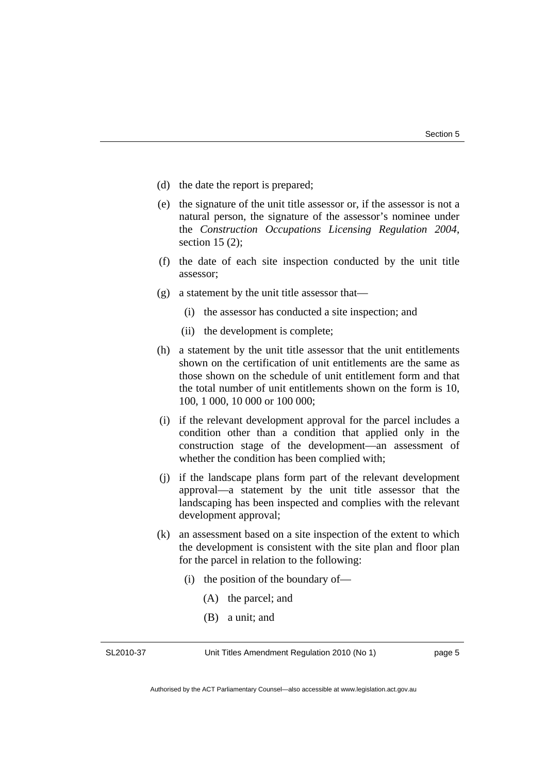- (d) the date the report is prepared;
- (e) the signature of the unit title assessor or, if the assessor is not a natural person, the signature of the assessor's nominee under the *Construction Occupations Licensing Regulation 2004*, section 15 (2);
- (f) the date of each site inspection conducted by the unit title assessor;
- (g) a statement by the unit title assessor that—
	- (i) the assessor has conducted a site inspection; and
	- (ii) the development is complete;
- (h) a statement by the unit title assessor that the unit entitlements shown on the certification of unit entitlements are the same as those shown on the schedule of unit entitlement form and that the total number of unit entitlements shown on the form is 10, 100, 1 000, 10 000 or 100 000;
- (i) if the relevant development approval for the parcel includes a condition other than a condition that applied only in the construction stage of the development—an assessment of whether the condition has been complied with;
- (j) if the landscape plans form part of the relevant development approval—a statement by the unit title assessor that the landscaping has been inspected and complies with the relevant development approval;
- (k) an assessment based on a site inspection of the extent to which the development is consistent with the site plan and floor plan for the parcel in relation to the following:
	- (i) the position of the boundary of—
		- (A) the parcel; and
		- (B) a unit; and

SL2010-37

Unit Titles Amendment Regulation 2010 (No 1)

page 5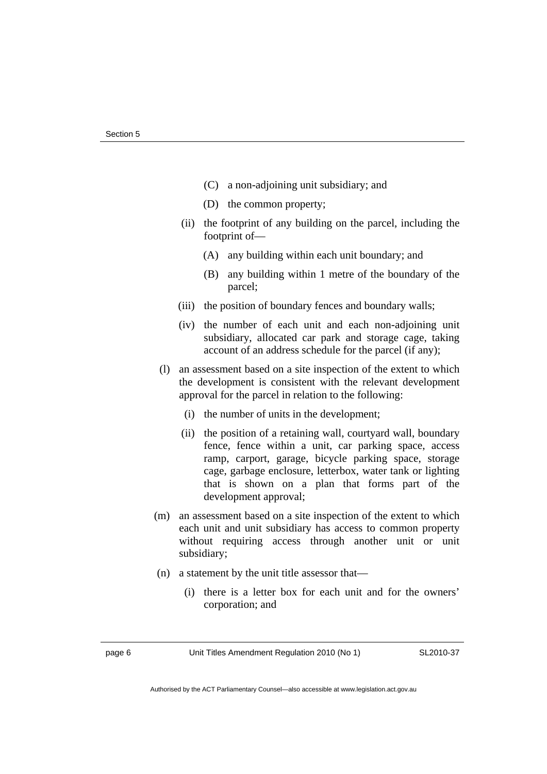- (C) a non-adjoining unit subsidiary; and
- (D) the common property;
- (ii) the footprint of any building on the parcel, including the footprint of—
	- (A) any building within each unit boundary; and
	- (B) any building within 1 metre of the boundary of the parcel;
- (iii) the position of boundary fences and boundary walls;
- (iv) the number of each unit and each non-adjoining unit subsidiary, allocated car park and storage cage, taking account of an address schedule for the parcel (if any);
- (l) an assessment based on a site inspection of the extent to which the development is consistent with the relevant development approval for the parcel in relation to the following:
	- (i) the number of units in the development;
	- (ii) the position of a retaining wall, courtyard wall, boundary fence, fence within a unit, car parking space, access ramp, carport, garage, bicycle parking space, storage cage, garbage enclosure, letterbox, water tank or lighting that is shown on a plan that forms part of the development approval;
- (m) an assessment based on a site inspection of the extent to which each unit and unit subsidiary has access to common property without requiring access through another unit or unit subsidiary;
- (n) a statement by the unit title assessor that—
	- (i) there is a letter box for each unit and for the owners' corporation; and

page 6 Unit Titles Amendment Regulation 2010 (No 1)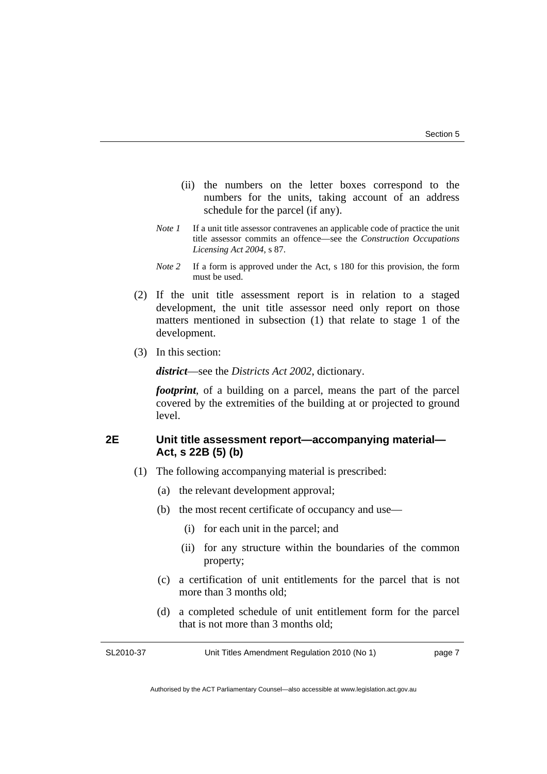- (ii) the numbers on the letter boxes correspond to the numbers for the units, taking account of an address schedule for the parcel (if any).
- *Note 1* If a unit title assessor contravenes an applicable code of practice the unit title assessor commits an offence—see the *Construction Occupations Licensing Act 2004*, s 87.
- *Note 2* If a form is approved under the Act, s 180 for this provision, the form must be used.
- (2) If the unit title assessment report is in relation to a staged development, the unit title assessor need only report on those matters mentioned in subsection (1) that relate to stage 1 of the development.
- (3) In this section:

*district*—see the *Districts Act 2002*, dictionary.

*footprint*, of a building on a parcel, means the part of the parcel covered by the extremities of the building at or projected to ground level.

# **2E Unit title assessment report—accompanying material— Act, s 22B (5) (b)**

- (1) The following accompanying material is prescribed:
	- (a) the relevant development approval;
	- (b) the most recent certificate of occupancy and use—
		- (i) for each unit in the parcel; and
		- (ii) for any structure within the boundaries of the common property;
	- (c) a certification of unit entitlements for the parcel that is not more than 3 months old;
	- (d) a completed schedule of unit entitlement form for the parcel that is not more than 3 months old;

SL2010-37

Unit Titles Amendment Regulation 2010 (No 1)

page 7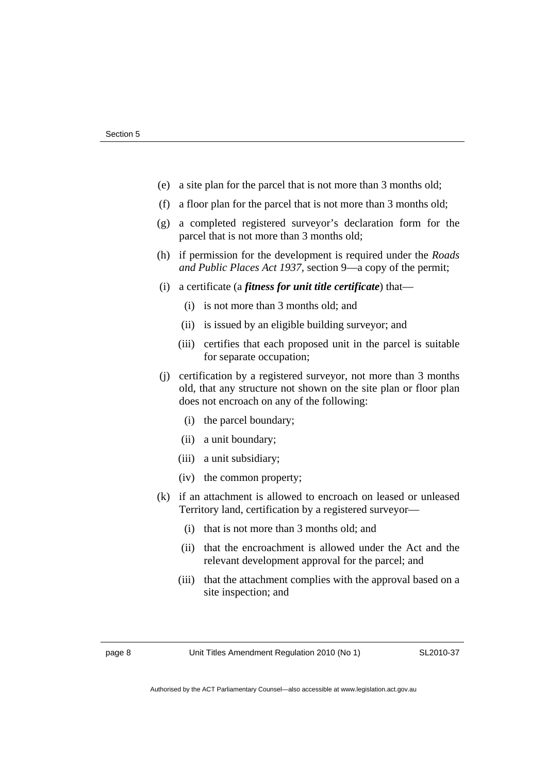- (e) a site plan for the parcel that is not more than 3 months old;
- (f) a floor plan for the parcel that is not more than 3 months old;
- (g) a completed registered surveyor's declaration form for the parcel that is not more than 3 months old;
- (h) if permission for the development is required under the *Roads and Public Places Act 1937*, section 9—a copy of the permit;
- (i) a certificate (a *fitness for unit title certificate*) that—
	- (i) is not more than 3 months old; and
	- (ii) is issued by an eligible building surveyor; and
	- (iii) certifies that each proposed unit in the parcel is suitable for separate occupation;
- (j) certification by a registered surveyor, not more than 3 months old, that any structure not shown on the site plan or floor plan does not encroach on any of the following:
	- (i) the parcel boundary;
	- (ii) a unit boundary;
	- (iii) a unit subsidiary;
	- (iv) the common property;
- (k) if an attachment is allowed to encroach on leased or unleased Territory land, certification by a registered surveyor—
	- (i) that is not more than 3 months old; and
	- (ii) that the encroachment is allowed under the Act and the relevant development approval for the parcel; and
	- (iii) that the attachment complies with the approval based on a site inspection; and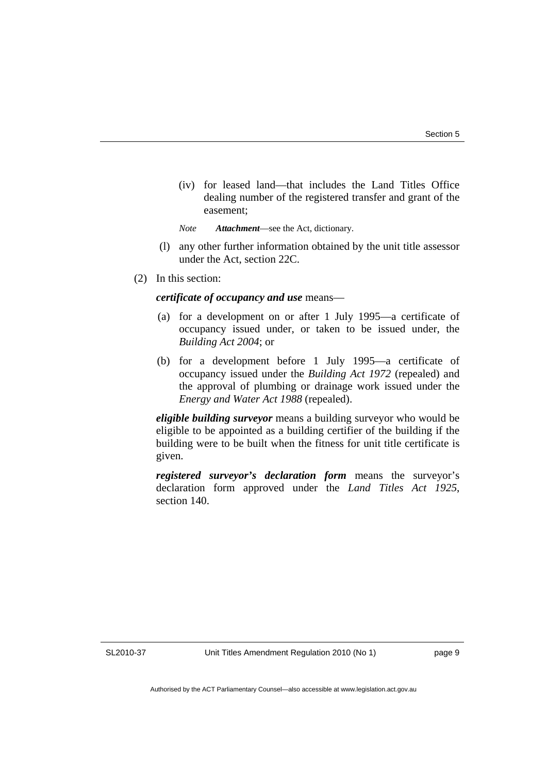(iv) for leased land—that includes the Land Titles Office dealing number of the registered transfer and grant of the easement;

*Note Attachment*—see the Act, dictionary.

- (l) any other further information obtained by the unit title assessor under the Act, section 22C.
- (2) In this section:

#### *certificate of occupancy and use* means—

- (a) for a development on or after 1 July 1995—a certificate of occupancy issued under, or taken to be issued under, the *Building Act 2004*; or
- (b) for a development before 1 July 1995—a certificate of occupancy issued under the *Building Act 1972* (repealed) and the approval of plumbing or drainage work issued under the *Energy and Water Act 1988* (repealed).

*eligible building surveyor* means a building surveyor who would be eligible to be appointed as a building certifier of the building if the building were to be built when the fitness for unit title certificate is given.

*registered surveyor's declaration form* means the surveyor's declaration form approved under the *Land Titles Act 1925*, section 140.

SL2010-37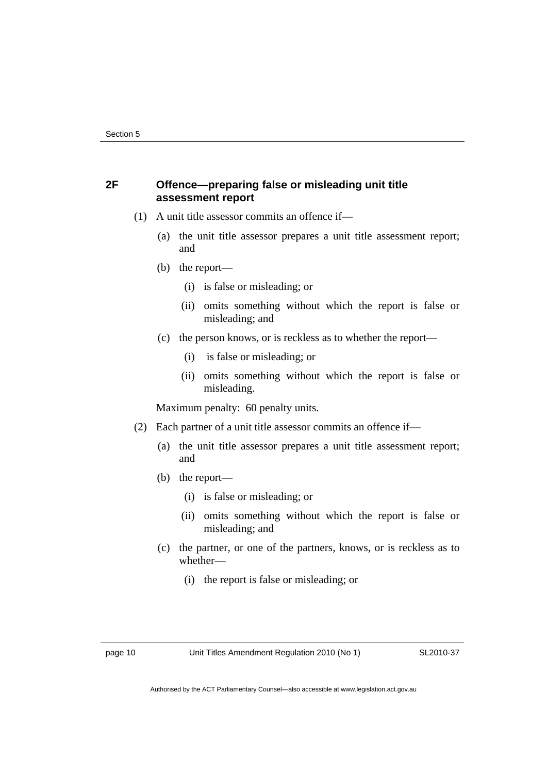### **2F Offence—preparing false or misleading unit title assessment report**

- (1) A unit title assessor commits an offence if—
	- (a) the unit title assessor prepares a unit title assessment report; and
	- (b) the report—
		- (i) is false or misleading; or
		- (ii) omits something without which the report is false or misleading; and
	- (c) the person knows, or is reckless as to whether the report—
		- (i) is false or misleading; or
		- (ii) omits something without which the report is false or misleading.

Maximum penalty: 60 penalty units.

- (2) Each partner of a unit title assessor commits an offence if—
	- (a) the unit title assessor prepares a unit title assessment report; and
	- (b) the report—
		- (i) is false or misleading; or
		- (ii) omits something without which the report is false or misleading; and
	- (c) the partner, or one of the partners, knows, or is reckless as to whether—
		- (i) the report is false or misleading; or

page 10 Unit Titles Amendment Regulation 2010 (No 1)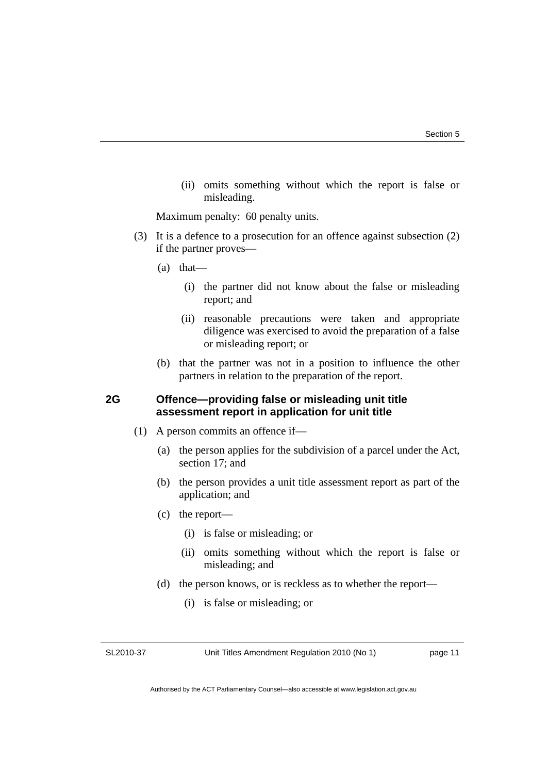(ii) omits something without which the report is false or misleading.

Maximum penalty: 60 penalty units.

- (3) It is a defence to a prosecution for an offence against subsection (2) if the partner proves—
	- (a) that—
		- (i) the partner did not know about the false or misleading report; and
		- (ii) reasonable precautions were taken and appropriate diligence was exercised to avoid the preparation of a false or misleading report; or
	- (b) that the partner was not in a position to influence the other partners in relation to the preparation of the report.

## **2G Offence—providing false or misleading unit title assessment report in application for unit title**

- (1) A person commits an offence if—
	- (a) the person applies for the subdivision of a parcel under the Act, section 17; and
	- (b) the person provides a unit title assessment report as part of the application; and
	- (c) the report—
		- (i) is false or misleading; or
		- (ii) omits something without which the report is false or misleading; and
	- (d) the person knows, or is reckless as to whether the report—
		- (i) is false or misleading; or

SL2010-37

Unit Titles Amendment Regulation 2010 (No 1)

page 11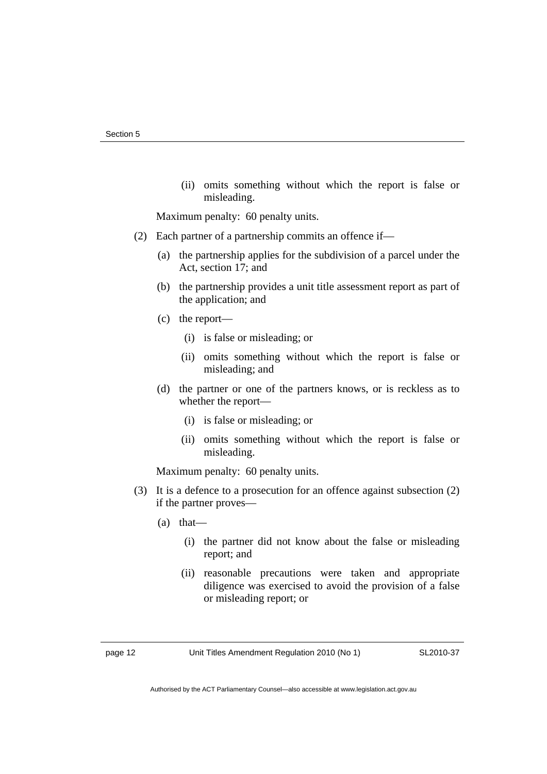(ii) omits something without which the report is false or misleading.

Maximum penalty: 60 penalty units.

- (2) Each partner of a partnership commits an offence if—
	- (a) the partnership applies for the subdivision of a parcel under the Act, section 17; and
	- (b) the partnership provides a unit title assessment report as part of the application; and
	- (c) the report—
		- (i) is false or misleading; or
		- (ii) omits something without which the report is false or misleading; and
	- (d) the partner or one of the partners knows, or is reckless as to whether the report—
		- (i) is false or misleading; or
		- (ii) omits something without which the report is false or misleading.

Maximum penalty: 60 penalty units.

- (3) It is a defence to a prosecution for an offence against subsection (2) if the partner proves—
	- (a) that—
		- (i) the partner did not know about the false or misleading report; and
		- (ii) reasonable precautions were taken and appropriate diligence was exercised to avoid the provision of a false or misleading report; or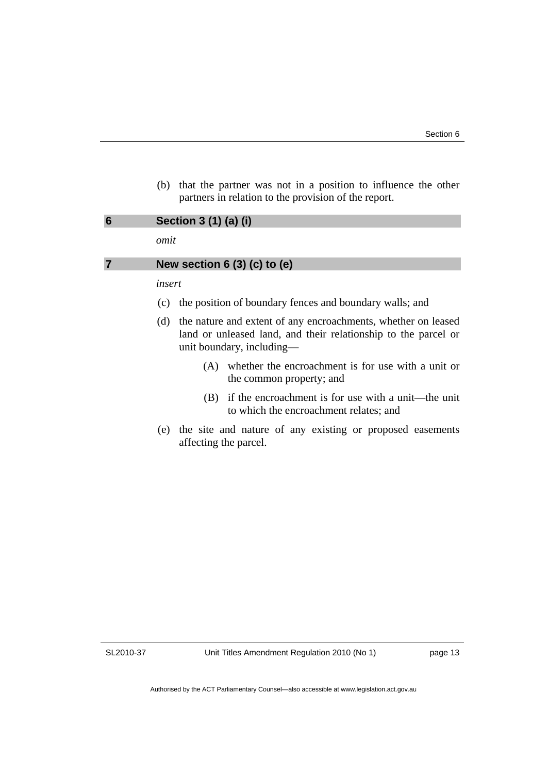(b) that the partner was not in a position to influence the other partners in relation to the provision of the report.

<span id="page-16-0"></span>

| Section 3 (1) (a) (i)<br>omit                                                                                                                                       |  |
|---------------------------------------------------------------------------------------------------------------------------------------------------------------------|--|
| New section $6(3)(c)$ to $(e)$                                                                                                                                      |  |
| insert                                                                                                                                                              |  |
| the position of boundary fences and boundary walls; and<br>(C)                                                                                                      |  |
| the nature and extent of any encroachments, whether on leased<br>(d)<br>land or unleased land, and their relationship to the parcel or<br>unit boundary, including— |  |
| whether the encroachment is for use with a unit or<br>(A)                                                                                                           |  |

- the common property; and (B) if the encroachment is for use with a unit—the unit
- to which the encroachment relates; and
- (e) the site and nature of any existing or proposed easements affecting the parcel.

SL2010-37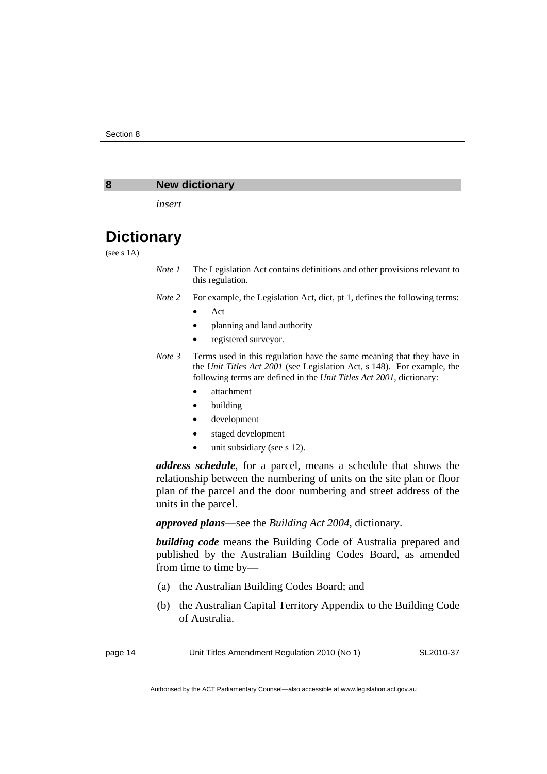#### <span id="page-17-0"></span>**8 New dictionary**

*insert* 

# **Dictionary**

(see s 1A)

- *Note 1* The Legislation Act contains definitions and other provisions relevant to this regulation.
- *Note 2* For example, the Legislation Act, dict, pt 1, defines the following terms:
	- Act
	- planning and land authority
	- registered surveyor.
- *Note 3* Terms used in this regulation have the same meaning that they have in the *Unit Titles Act 2001* (see Legislation Act, s 148). For example, the following terms are defined in the *Unit Titles Act 2001*, dictionary:
	- attachment
	- building
	- development
	- staged development
	- unit subsidiary (see s 12).

*address schedule*, for a parcel, means a schedule that shows the relationship between the numbering of units on the site plan or floor plan of the parcel and the door numbering and street address of the units in the parcel.

*approved plans*—see the *Building Act 2004*, dictionary.

*building code* means the Building Code of Australia prepared and published by the Australian Building Codes Board, as amended from time to time by—

- (a) the Australian Building Codes Board; and
- (b) the Australian Capital Territory Appendix to the Building Code of Australia.

page 14 Unit Titles Amendment Regulation 2010 (No 1)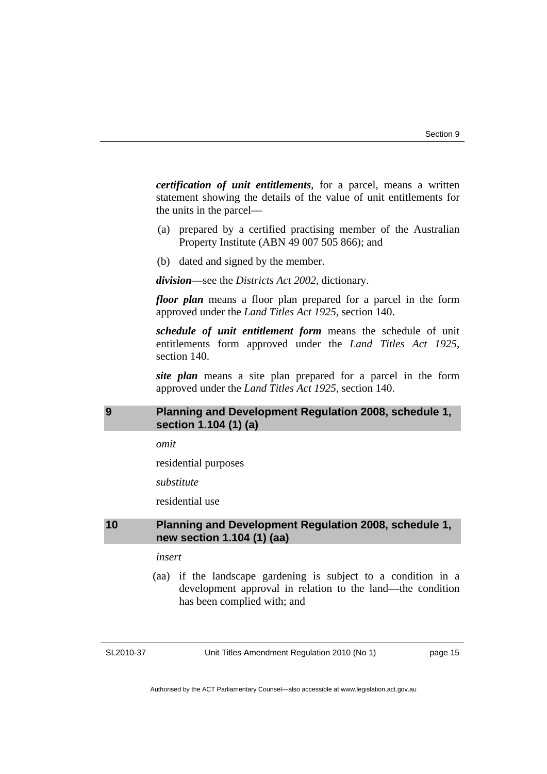<span id="page-18-0"></span>*certification of unit entitlements*, for a parcel, means a written statement showing the details of the value of unit entitlements for the units in the parcel—

- (a) prepared by a certified practising member of the Australian Property Institute (ABN 49 007 505 866); and
- (b) dated and signed by the member.

*division*—see the *Districts Act 2002*, dictionary.

*floor plan* means a floor plan prepared for a parcel in the form approved under the *Land Titles Act 1925*, section 140.

*schedule of unit entitlement form* means the schedule of unit entitlements form approved under the *Land Titles Act 1925*, section 140.

*site plan* means a site plan prepared for a parcel in the form approved under the *Land Titles Act 1925*, section 140.

### **9 Planning and Development Regulation 2008, schedule 1, section 1.104 (1) (a)**

*omit* 

residential purposes

*substitute* 

residential use

#### **10 Planning and Development Regulation 2008, schedule 1, new section 1.104 (1) (aa)**

#### *insert*

 (aa) if the landscape gardening is subject to a condition in a development approval in relation to the land—the condition has been complied with; and

SL2010-37

Unit Titles Amendment Regulation 2010 (No 1)

page 15